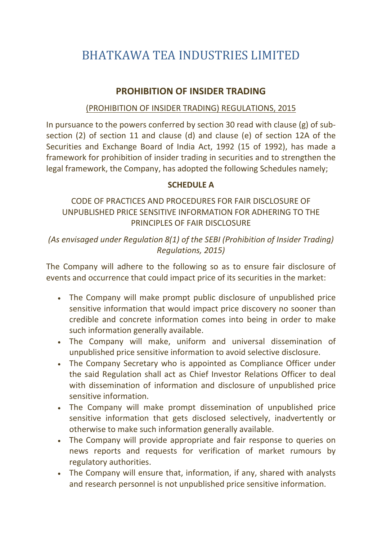# BHATKAWA TEA INDUSTRIES LIMITED

# PROHIBITION OF INSIDER TRADING

### (PROHIBITION OF INSIDER TRADING) REGULATIONS, 2015

In pursuance to the powers conferred by section 30 read with clause (g) of subsection (2) of section 11 and clause (d) and clause (e) of section 12A of the Securities and Exchange Board of India Act, 1992 (15 of 1992), has made a framework for prohibition of insider trading in securities and to strengthen the legal framework, the Company, has adopted the following Schedules namely;

## SCHEDULE A

## CODE OF PRACTICES AND PROCEDURES FOR FAIR DISCLOSURE OF UNPUBLISHED PRICE SENSITIVE INFORMATION FOR ADHERING TO THE PRINCIPLES OF FAIR DISCLOSURE

(As envisaged under Regulation 8(1) of the SEBI (Prohibition of Insider Trading) Regulations, 2015)

The Company will adhere to the following so as to ensure fair disclosure of events and occurrence that could impact price of its securities in the market:

- The Company will make prompt public disclosure of unpublished price sensitive information that would impact price discovery no sooner than credible and concrete information comes into being in order to make such information generally available.
- The Company will make, uniform and universal dissemination of unpublished price sensitive information to avoid selective disclosure.
- The Company Secretary who is appointed as Compliance Officer under the said Regulation shall act as Chief Investor Relations Officer to deal with dissemination of information and disclosure of unpublished price sensitive information.
- The Company will make prompt dissemination of unpublished price sensitive information that gets disclosed selectively, inadvertently or otherwise to make such information generally available.
- The Company will provide appropriate and fair response to queries on news reports and requests for verification of market rumours by regulatory authorities.
- The Company will ensure that, information, if any, shared with analysts and research personnel is not unpublished price sensitive information.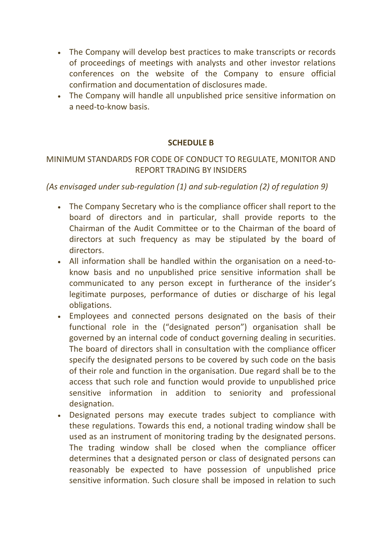- The Company will develop best practices to make transcripts or records of proceedings of meetings with analysts and other investor relations conferences on the website of the Company to ensure official confirmation and documentation of disclosures made.
- The Company will handle all unpublished price sensitive information on a need-to-know basis.

### SCHEDULE B

## MINIMUM STANDARDS FOR CODE OF CONDUCT TO REGULATE, MONITOR AND REPORT TRADING BY INSIDERS

### (As envisaged under sub-regulation (1) and sub-regulation (2) of regulation 9)

- The Company Secretary who is the compliance officer shall report to the board of directors and in particular, shall provide reports to the Chairman of the Audit Committee or to the Chairman of the board of directors at such frequency as may be stipulated by the board of directors.
- All information shall be handled within the organisation on a need-toknow basis and no unpublished price sensitive information shall be communicated to any person except in furtherance of the insider's legitimate purposes, performance of duties or discharge of his legal obligations.
- Employees and connected persons designated on the basis of their functional role in the ("designated person") organisation shall be governed by an internal code of conduct governing dealing in securities. The board of directors shall in consultation with the compliance officer specify the designated persons to be covered by such code on the basis of their role and function in the organisation. Due regard shall be to the access that such role and function would provide to unpublished price sensitive information in addition to seniority and professional designation.
- Designated persons may execute trades subject to compliance with these regulations. Towards this end, a notional trading window shall be used as an instrument of monitoring trading by the designated persons. The trading window shall be closed when the compliance officer determines that a designated person or class of designated persons can reasonably be expected to have possession of unpublished price sensitive information. Such closure shall be imposed in relation to such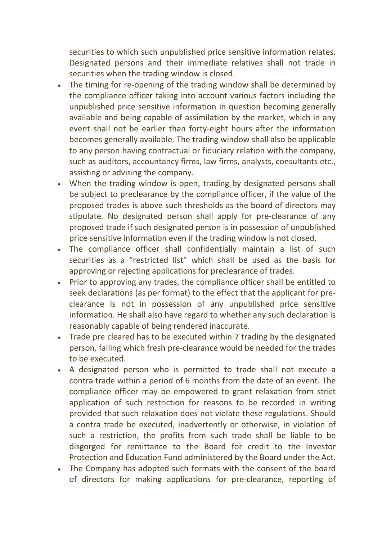securities to which such unpublished price sensitive information relates. Designated persons and their immediate relatives shall not trade in securities when the trading window is closed.

- The timing for re-opening of the trading window shall be determined by the compliance officer taking into account various factors including the unpublished price sensitive information in question becoming generally available and being capable of assimilation by the market, which in any event shall not be earlier than forty-eight hours after the information becomes generally available. The trading window shall also be applicable to any person having contractual or fiduciary relation with the company, such as auditors, accountancy firms, law firms, analysts, consultants etc., assisting or advising the company.
- When the trading window is open, trading by designated persons shall be subject to preclearance by the compliance officer, if the value of the proposed trades is above such thresholds as the board of directors may stipulate. No designated person shall apply for pre-clearance of any proposed trade if such designated person is in possession of unpublished price sensitive information even if the trading window is not closed.
- The compliance officer shall confidentially maintain a list of such securities as a "restricted list" which shall be used as the basis for approving or rejecting applications for preclearance of trades.
- Prior to approving any trades, the compliance officer shall be entitled to seek declarations (as per format) to the effect that the applicant for preclearance is not in possession of any unpublished price sensitive information. He shall also have regard to whether any such declaration is reasonably capable of being rendered inaccurate.
- Trade pre cleared has to be executed within 7 trading by the designated person, failing which fresh pre-clearance would be needed for the trades to be executed.
- A designated person who is permitted to trade shall not execute a contra trade within a period of 6 months from the date of an event. The compliance officer may be empowered to grant relaxation from strict application of such restriction for reasons to be recorded in writing provided that such relaxation does not violate these regulations. Should a contra trade be executed, inadvertently or otherwise, in violation of such a restriction, the profits from such trade shall be liable to be disgorged for remittance to the Board for credit to the Investor Protection and Education Fund administered by the Board under the Act.
- The Company has adopted such formats with the consent of the board of directors for making applications for pre-clearance, reporting of